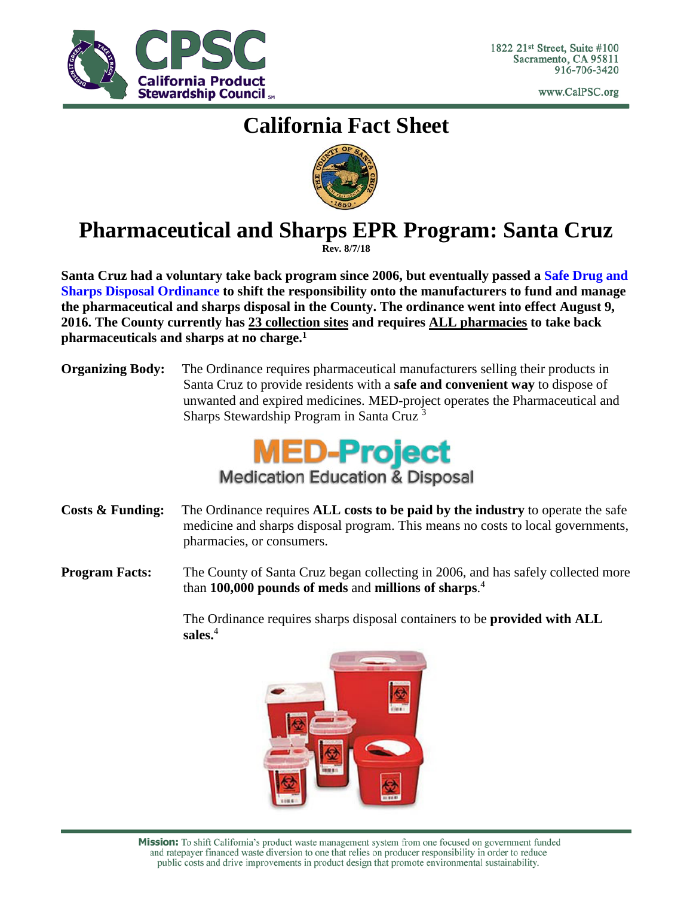

www.CalPSC.org

## **California Fact Sheet**



# **Pharmaceutical and Sharps EPR Program: Santa Cruz**

**Rev. 8/7/18**

**Santa Cruz had a voluntary take back program since 2006, but eventually passed a [Safe Drug and](http://www.codepublishing.com/CA/SantaCruzCounty/html/SantaCruzCounty07/SantaCruzCounty0795.html)  [Sharps Disposal Ordinance](http://www.codepublishing.com/CA/SantaCruzCounty/html/SantaCruzCounty07/SantaCruzCounty0795.html) to shift the responsibility onto the manufacturers to fund and manage the pharmaceutical and sharps disposal in the County. The ordinance went into effect August 9, 2016. The County currently has 23 collection sites and requires ALL pharmacies to take back pharmaceuticals and sharps at no charge.1**

**Organizing Body:** The Ordinance requires pharmaceutical manufacturers selling their products in Santa Cruz to provide residents with a **safe and convenient way** to dispose of unwanted and expired medicines. MED-project operates the Pharmaceutical and Sharps Stewardship Program in Santa Cruz 3



- **Costs & Funding:** The Ordinance requires **ALL costs to be paid by the industry** to operate the safe medicine and sharps disposal program. This means no costs to local governments, pharmacies, or consumers.
- **Program Facts:** The County of Santa Cruz began collecting in 2006, and has safely collected more than **100,000 pounds of meds** and **millions of sharps**. 4

The Ordinance requires sharps disposal containers to be **provided with ALL sales.**<sup>4</sup>